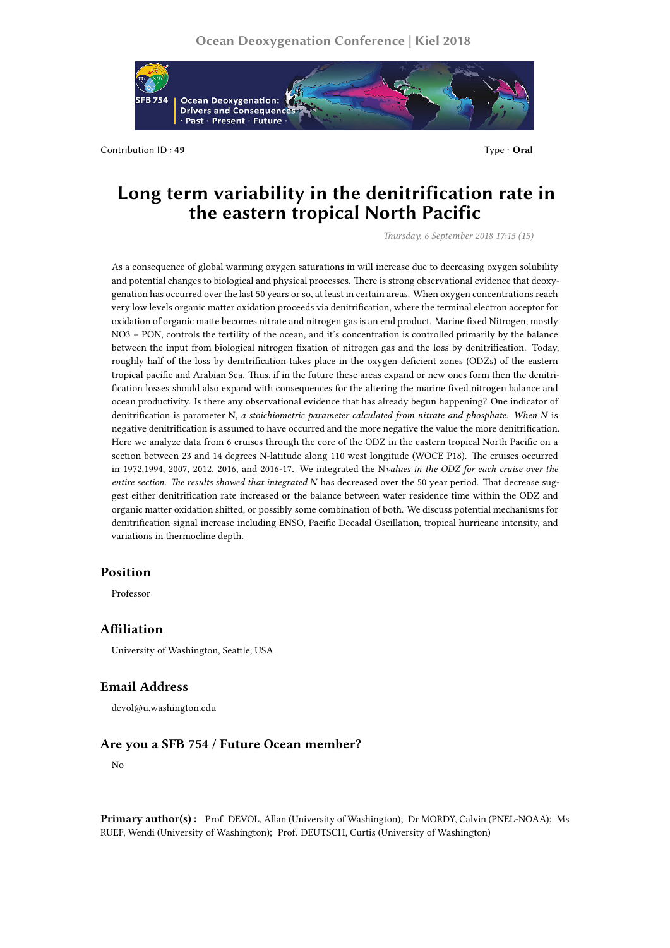

Contribution ID: 49 Type: Oral

# **Long term variability in the denitrification rate in the eastern tropical North Pacific**

*Thursday, 6 September 2018 17:15 (15)*

As a consequence of global warming oxygen saturations in will increase due to decreasing oxygen solubility and potential changes to biological and physical processes. There is strong observational evidence that deoxygenation has occurred over the last 50 years or so, at least in certain areas. When oxygen concentrations reach very low levels organic matter oxidation proceeds via denitrification, where the terminal electron acceptor for oxidation of organic matte becomes nitrate and nitrogen gas is an end product. Marine fixed Nitrogen, mostly NO3 + PON, controls the fertility of the ocean, and it's concentration is controlled primarily by the balance between the input from biological nitrogen fixation of nitrogen gas and the loss by denitrification. Today, roughly half of the loss by denitrification takes place in the oxygen deficient zones (ODZs) of the eastern tropical pacific and Arabian Sea. Thus, if in the future these areas expand or new ones form then the denitrification losses should also expand with consequences for the altering the marine fixed nitrogen balance and ocean productivity. Is there any observational evidence that has already begun happening? One indicator of denitrification is parameter N*, a stoichiometric parameter calculated from nitrate and phosphate. When N* is negative denitrification is assumed to have occurred and the more negative the value the more denitrification. Here we analyze data from 6 cruises through the core of the ODZ in the eastern tropical North Pacific on a section between 23 and 14 degrees N-latitude along 110 west longitude (WOCE P18). The cruises occurred in 1972,1994, 2007, 2012, 2016, and 2016-17. We integrated the N*values in the ODZ for each cruise over the entire section. The results showed that integrated N* has decreased over the 50 year period. That decrease suggest either denitrification rate increased or the balance between water residence time within the ODZ and organic matter oxidation shifted, or possibly some combination of both. We discuss potential mechanisms for denitrification signal increase including ENSO, Pacific Decadal Oscillation, tropical hurricane intensity, and variations in thermocline depth.

## **Position**

Professor

## **Affiliation**

University of Washington, Seattle, USA

## **Email Address**

devol@u.washington.edu

## **Are you a SFB 754 / Future Ocean member?**

No

**Primary author(s) :** Prof. DEVOL, Allan (University of Washington); Dr MORDY, Calvin (PNEL-NOAA); Ms RUEF, Wendi (University of Washington); Prof. DEUTSCH, Curtis (University of Washington)